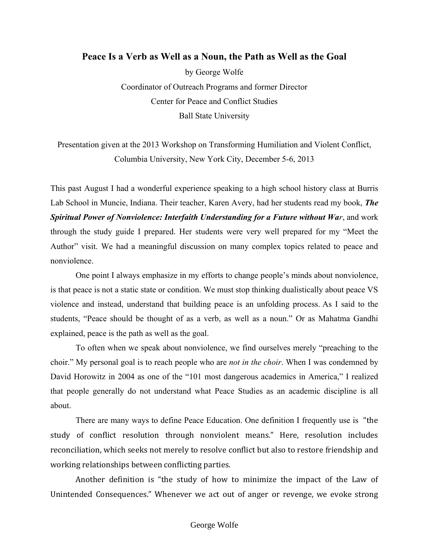## **Peace Is a Verb as Well as a Noun, the Path as Well as the Goal**

by George Wolfe Coordinator of Outreach Programs and former Director Center for Peace and Conflict Studies Ball State University

Presentation given at the 2013 Workshop on Transforming Humiliation and Violent Conflict, Columbia University, New York City, December 5-6, 2013

This past August I had a wonderful experience speaking to a high school history class at Burris Lab School in Muncie, Indiana. Their teacher, Karen Avery, had her students read my book, *[The](http://www.thespiritualpowerofnonviolence.com/)  [Spiritual Power of Nonviolence: Interfaith Understanding for a Future without Wa](http://www.thespiritualpowerofnonviolence.com/)r*, and work through the study guide I prepared. Her students were very well prepared for my "Meet the Author" visit. We had a meaningful discussion on many complex topics related to peace and nonviolence.

One point I always emphasize in my efforts to change people's minds about nonviolence, is that peace is not a static state or condition. We must stop thinking dualistically about peace VS violence and instead, understand that building peace is an unfolding process. As I said to the students, "Peace should be thought of as a verb, as well as a noun." Or as Mahatma Gandhi explained, peace is the path as well as the goal.

To often when we speak about nonviolence, we find ourselves merely "preaching to the choir." My personal goal is to reach people who are *not in the choir*. When I was condemned by David Horowitz in 2004 as one of the "101 most dangerous academics in America," I realized that people generally do not understand what Peace Studies as an academic discipline is all about.

There are many ways to define Peace Education. One definition I frequently use is "the study of conflict resolution through nonviolent means." Here, resolution includes reconciliation, which seeks not merely to resolve conflict but also to restore friendship and working relationships between conflicting parties.

Another definition is "the study of how to minimize the impact of the Law of Unintended Consequences." Whenever we act out of anger or revenge, we evoke strong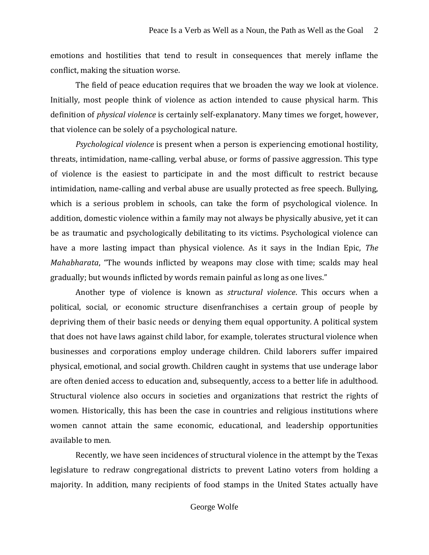emotions and hostilities that tend to result in consequences that merely inflame the conflict, making the situation worse.

The field of peace education requires that we broaden the way we look at violence. Initially, most people think of violence as action intended to cause physical harm. This definition of *physical violence* is certainly self-explanatory. Many times we forget, however, that violence can be solely of a psychological nature.

*Psychological violence* is present when a person is experiencing emotional hostility, threats, intimidation, name-calling, verbal abuse, or forms of passive aggression. This type of violence is the easiest to participate in and the most difficult to restrict because intimidation, name-calling and verbal abuse are usually protected as free speech. Bullying, which is a serious problem in schools, can take the form of psychological violence. In addition, domestic violence within a family may not always be physically abusive, yet it can be as traumatic and psychologically debilitating to its victims. Psychological violence can have a more lasting impact than physical violence. As it says in the Indian Epic, *The Mahabharata*, "The wounds inflicted by weapons may close with time; scalds may heal gradually; but wounds inflicted by words remain painful as long as one lives."

Another type of violence is known as *structural violence*. This occurs when a political, social, or economic structure disenfranchises a certain group of people by depriving them of their basic needs or denying them equal opportunity. A political system that does not have laws against child labor, for example, tolerates structural violence when businesses and corporations employ underage children. Child laborers suffer impaired physical, emotional, and social growth. Children caught in systems that use underage labor are often denied access to education and, subsequently, access to a better life in adulthood. Structural violence also occurs in societies and organizations that restrict the rights of women. Historically, this has been the case in countries and religious institutions where women cannot attain the same economic, educational, and leadership opportunities available to men.

Recently, we have seen incidences of structural violence in the attempt by the Texas legislature to redraw congregational districts to prevent Latino voters from holding a majority. In addition, many recipients of food stamps in the United States actually have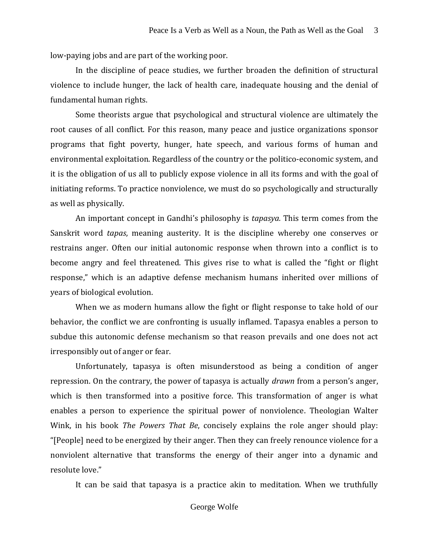low-paying jobs and are part of the working poor.

In the discipline of peace studies, we further broaden the definition of structural violence to include hunger, the lack of health care, inadequate housing and the denial of fundamental human rights.

Some theorists argue that psychological and structural violence are ultimately the root causes of all conflict. For this reason, many peace and justice organizations sponsor programs that fight poverty, hunger, hate speech, and various forms of human and environmental exploitation. Regardless of the country or the politico-economic system, and it is the obligation of us all to publicly expose violence in all its forms and with the goal of initiating reforms. To practice nonviolence, we must do so psychologically and structurally as well as physically.

An important concept in Gandhi's philosophy is *tapasya.* This term comes from the Sanskrit word *tapas*, meaning austerity. It is the discipline whereby one conserves or restrains anger. Often our initial autonomic response when thrown into a conflict is to become angry and feel threatened. This gives rise to what is called the "fight or flight response," which is an adaptive defense mechanism humans inherited over millions of years of biological evolution.

When we as modern humans allow the fight or flight response to take hold of our behavior, the conflict we are confronting is usually inflamed. Tapasya enables a person to subdue this autonomic defense mechanism so that reason prevails and one does not act irresponsibly out of anger or fear.

Unfortunately, tapasya is often misunderstood as being a condition of anger repression. On the contrary, the power of tapasya is actually *drawn* from a person's anger, which is then transformed into a positive force. This transformation of anger is what enables a person to experience the spiritual power of nonviolence. Theologian Walter Wink, in his book *The Powers That Be*, concisely explains the role anger should play: "[People] need to be energized by their anger. Then they can freely renounce violence for a nonviolent alternative that transforms the energy of their anger into a dynamic and resolute love."

It can be said that tapasya is a practice akin to meditation. When we truthfully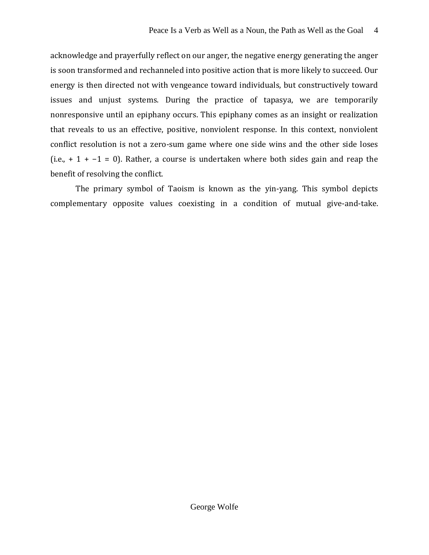acknowledge and prayerfully reflect on our anger, the negative energy generating the anger is soon transformed and rechanneled into positive action that is more likely to succeed. Our energy is then directed not with vengeance toward individuals, but constructively toward issues and unjust systems. During the practice of tapasya, we are temporarily nonresponsive until an epiphany occurs. This epiphany comes as an insight or realization that reveals to us an effective, positive, nonviolent response. In this context, nonviolent conflict resolution is not a zero-sum game where one side wins and the other side loses (i.e., + 1 + -1 = 0). Rather, a course is undertaken where both sides gain and reap the benefit of resolving the conflict.

The primary symbol of Taoism is known as the yin-yang. This symbol depicts complementary opposite values coexisting in a condition of mutual give-and-take.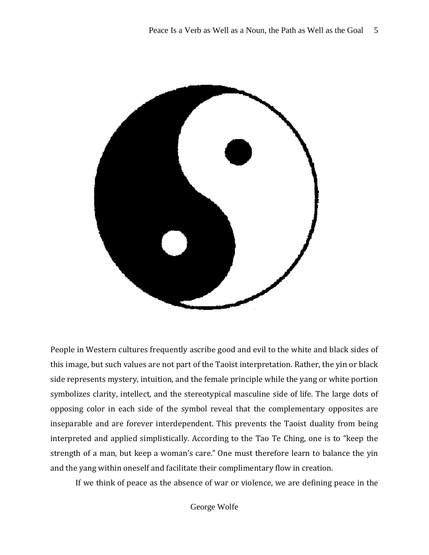

People in Western cultures frequently ascribe good and evil to the white and black sides of this image, but such values are not part of the Taoist interpretation. Rather, the yin or black side represents mystery, intuition, and the female principle while the yang or white portion symbolizes clarity, intellect, and the stereotypical masculine side of life. The large dots of opposing color in each side of the symbol reveal that the complementary opposites are inseparable and are forever interdependent. This prevents the Taoist duality from being interpreted and applied simplistically. According to the Tao Te Ching, one is to "keep the strength of a man, but keep a woman's care." One must therefore learn to balance the yin and the yang within oneself and facilitate their complimentary flow in creation.

If we think of peace as the absence of war or violence, we are defining peace in the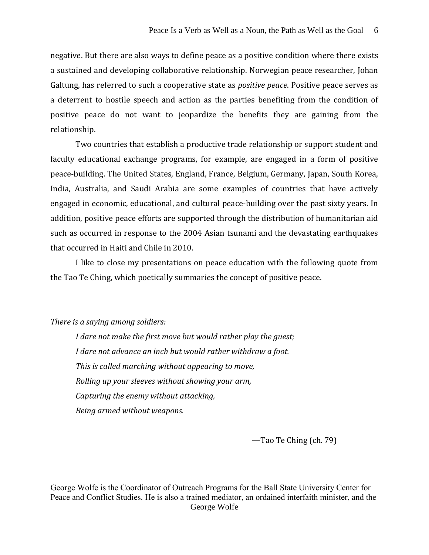negative. But there are also ways to define peace as a positive condition where there exists a sustained and developing collaborative relationship. Norwegian peace researcher, Johan Galtung, has referred to such a cooperative state as *positive peace*. Positive peace serves as a deterrent to hostile speech and action as the parties benefiting from the condition of positive peace do not want to jeopardize the benefits they are gaining from the relationship.

Two countries that establish a productive trade relationship or support student and faculty educational exchange programs, for example, are engaged in a form of positive peace-building. The United States, England, France, Belgium, Germany, Japan, South Korea, India, Australia, and Saudi Arabia are some examples of countries that have actively engaged in economic, educational, and cultural peace-building over the past sixty years. In addition, positive peace efforts are supported through the distribution of humanitarian aid such as occurred in response to the 2004 Asian tsunami and the devastating earthquakes that occurred in Haiti and Chile in 2010.

I like to close my presentations on peace education with the following quote from the Tao Te Ching, which poetically summaries the concept of positive peace.

## *There is a saying among soldiers:*

*I dare not make the first move but would rather play the guest; I dare not advance an inch but would rather withdraw a foot. This is called marching without appearing to move, Rolling up your sleeves without showing your arm, Capturing the enemy without attacking, Being armed without weapons.*

—Tao Te Ching (ch. 79)

George Wolfe George Wolfe is the Coordinator of Outreach Programs for the Ball State University Center for Peace and Conflict Studies. He is also a trained mediator, an ordained interfaith minister, and the